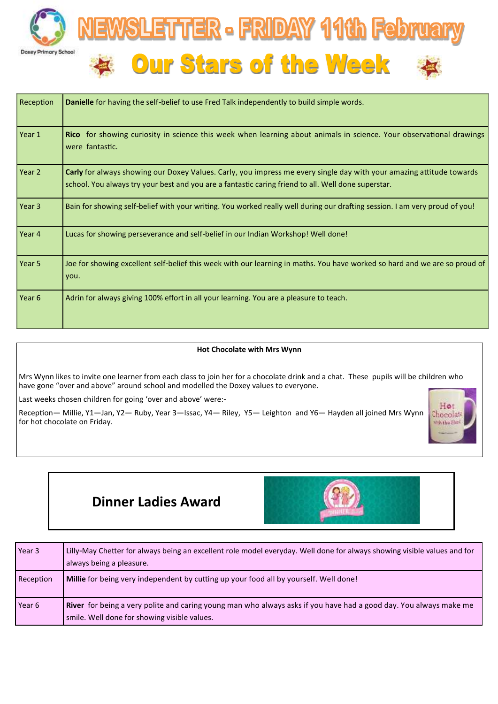



| Reception | Danielle for having the self-belief to use Fred Talk independently to build simple words.                                                                                                                                   |
|-----------|-----------------------------------------------------------------------------------------------------------------------------------------------------------------------------------------------------------------------------|
| Year 1    | Rico for showing curiosity in science this week when learning about animals in science. Your observational drawings<br>were fantastic.                                                                                      |
| Year 2    | Carly for always showing our Doxey Values. Carly, you impress me every single day with your amazing attitude towards<br>school. You always try your best and you are a fantastic caring friend to all. Well done superstar. |
| Year 3    | Bain for showing self-belief with your writing. You worked really well during our drafting session. I am very proud of you!                                                                                                 |
| Year 4    | Lucas for showing perseverance and self-belief in our Indian Workshop! Well done!                                                                                                                                           |
| Year 5    | Joe for showing excellent self-belief this week with our learning in maths. You have worked so hard and we are so proud of<br>you.                                                                                          |
| Year 6    | Adrin for always giving 100% effort in all your learning. You are a pleasure to teach.                                                                                                                                      |

### **Hot Chocolate with Mrs Wynn**

Mrs Wynn likes to invite one learner from each class to join her for a chocolate drink and a chat. These pupils will be children who have gone "over and above" around school and modelled the Doxey values to everyone.

Last weeks chosen children for going 'over and above' were:-

Reception— Millie, Y1—Jan, Y2— Ruby, Year 3—Issac, Y4— Riley, Y5— Leighton and Y6— Hayden all joined Mrs Wynn for hot chocolate on Friday.



# **Dinner Ladies Award**



| Year 3            | Lilly-May Chetter for always being an excellent role model everyday. Well done for always showing visible values and for<br>always being a pleasure.              |
|-------------------|-------------------------------------------------------------------------------------------------------------------------------------------------------------------|
| Reception         | Millie for being very independent by cutting up your food all by yourself. Well done!                                                                             |
| Year <sub>6</sub> | River for being a very polite and caring young man who always asks if you have had a good day. You always make me<br>smile. Well done for showing visible values. |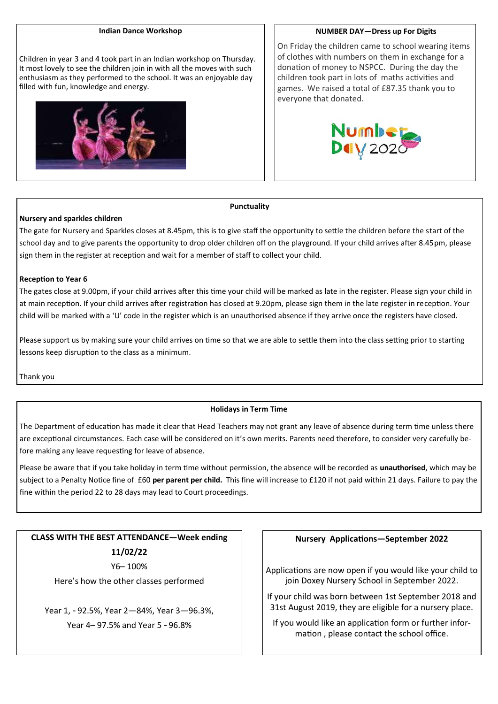#### **Indian Dance Workshop**

Children in year 3 and 4 took part in an Indian workshop on Thursday. It most lovely to see the children join in with all the moves with such enthusiasm as they performed to the school. It was an enjoyable day filled with fun, knowledge and energy.



**NUMBER DAY—Dress up For Digits**

On Friday the children came to school wearing items of clothes with numbers on them in exchange for a donation of money to NSPCC. During the day the children took part in lots of maths activities and games. We raised a total of £87.35 thank you to everyone that donated.



#### **Punctuality**

#### **Nursery and sparkles children**

The gate for Nursery and Sparkles closes at 8.45pm, this is to give staff the opportunity to settle the children before the start of the school day and to give parents the opportunity to drop older children off on the playground. If your child arrives after 8.45pm, please sign them in the register at reception and wait for a member of staff to collect your child.

#### **Reception to Year 6**

The gates close at 9.00pm, if your child arrives after this time your child will be marked as late in the register. Please sign your child in at main reception. If your child arrives after registration has closed at 9.20pm, please sign them in the late register in reception. Your child will be marked with a 'U' code in the register which is an unauthorised absence if they arrive once the registers have closed.

Please support us by making sure your child arrives on time so that we are able to settle them into the class setting prior to starting lessons keep disruption to the class as a minimum.

Thank you

#### **Holidays in Term Time**

The Department of education has made it clear that Head Teachers may not grant any leave of absence during term time unless there are exceptional circumstances. Each case will be considered on it's own merits. Parents need therefore, to consider very carefully before making any leave requesting for leave of absence.

Please be aware that if you take holiday in term time without permission, the absence will be recorded as **unauthorised**, which may be subject to a Penalty Notice fine of £60 **per parent per child.** This fine will increase to £120 if not paid within 21 days. Failure to pay the fine within the period 22 to 28 days may lead to Court proceedings.

**CLASS WITH THE BEST ATTENDANCE—Week ending 11/02/22** Y6– 100%

Here's how the other classes performed

Year 1, - 92.5%, Year 2—84%, Year 3—96.3%, Year 4– 97.5% and Year 5 - 96.8%

#### **Nursery Applications—September 2022**

Applications are now open if you would like your child to join Doxey Nursery School in September 2022.

If your child was born between 1st September 2018 and 31st August 2019, they are eligible for a nursery place.

If you would like an application form or further information , please contact the school office.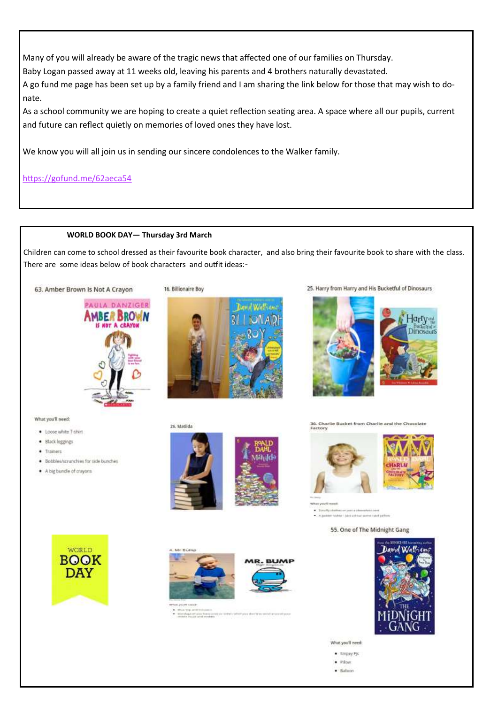Many of you will already be aware of the tragic news that affected one of our families on Thursday.

Baby Logan passed away at 11 weeks old, leaving his parents and 4 brothers naturally devastated.

A go fund me page has been set up by a family friend and I am sharing the link below for those that may wish to donate.

As a school community we are hoping to create a quiet reflection seating area. A space where all our pupils, current and future can reflect quietly on memories of loved ones they have lost.

We know you will all join us in sending our sincere condolences to the Walker family.

<https://gofund.me/62aeca54>

## **WORLD BOOK DAY— Thursday 3rd March**

Children can come to school dressed as their favourite book character, and also bring their favourite book to share with the class. There are some ideas below of book characters and outfit ideas:-





26. Matilda



25. Harry from Harry and His Bucketful of Dinosaurs





What you'll need:

- . Loose white T-shirt
- · Black leggings
- $-$  Trainers
- · Bobbles/strunchies for side bunches
- A big bundle of crayons







· A grider to ket - List college serve need to

55. One of The Midnight Gang





**Adolf Fiscate** 



- Microslape Of proclament



What you'll need:

- $-5$ tripey Fjs
- $\bullet$  *Fillow*
- $-$  Baloon